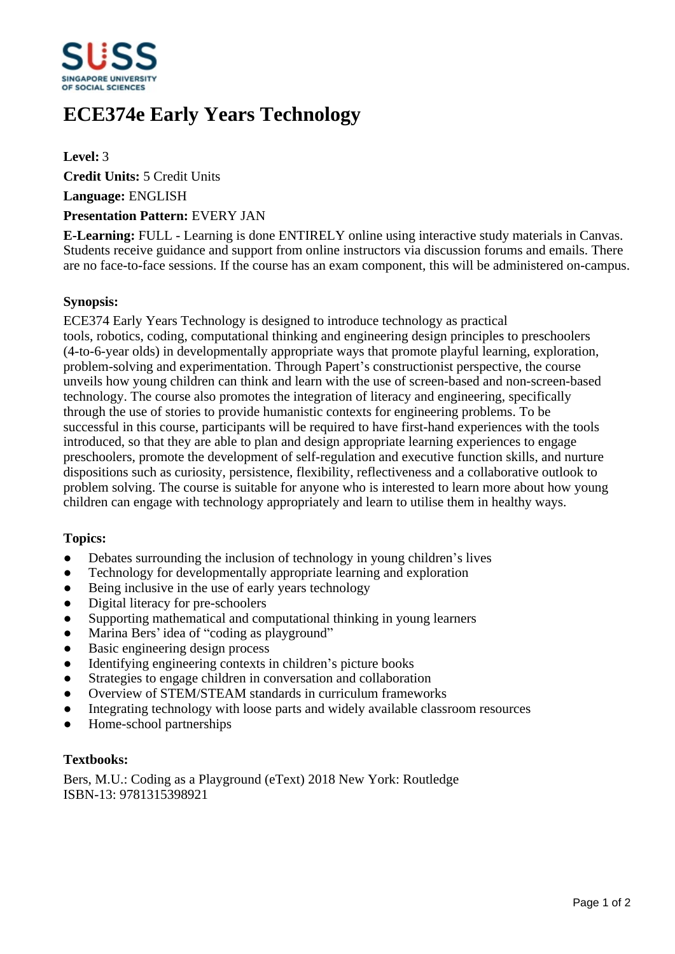

# **ECE374e Early Years Technology**

**Level:** 3

**Credit Units:** 5 Credit Units

**Language:** ENGLISH

## **Presentation Pattern:** EVERY JAN

**E-Learning:** FULL - Learning is done ENTIRELY online using interactive study materials in Canvas. Students receive guidance and support from online instructors via discussion forums and emails. There are no face-to-face sessions. If the course has an exam component, this will be administered on-campus.

## **Synopsis:**

ECE374 Early Years Technology is designed to introduce technology as practical tools, robotics, coding, computational thinking and engineering design principles to preschoolers (4-to-6-year olds) in developmentally appropriate ways that promote playful learning, exploration, problem-solving and experimentation. Through Papert's constructionist perspective, the course unveils how young children can think and learn with the use of screen-based and non-screen-based technology. The course also promotes the integration of literacy and engineering, specifically through the use of stories to provide humanistic contexts for engineering problems. To be successful in this course, participants will be required to have first-hand experiences with the tools introduced, so that they are able to plan and design appropriate learning experiences to engage preschoolers, promote the development of self-regulation and executive function skills, and nurture dispositions such as curiosity, persistence, flexibility, reflectiveness and a collaborative outlook to problem solving. The course is suitable for anyone who is interested to learn more about how young children can engage with technology appropriately and learn to utilise them in healthy ways.

#### **Topics:**

- $\bullet$  Debates surrounding the inclusion of technology in young children's lives
- Technology for developmentally appropriate learning and exploration
- Being inclusive in the use of early years technology
- Digital literacy for pre-schoolers
- Supporting mathematical and computational thinking in young learners
- Marina Bers' idea of "coding as playground"
- Basic engineering design process
- Identifying engineering contexts in children's picture books
- Strategies to engage children in conversation and collaboration
- Overview of STEM/STEAM standards in curriculum frameworks
- Integrating technology with loose parts and widely available classroom resources
- Home-school partnerships

#### **Textbooks:**

Bers, M.U.: Coding as a Playground (eText) 2018 New York: Routledge ISBN-13: 9781315398921